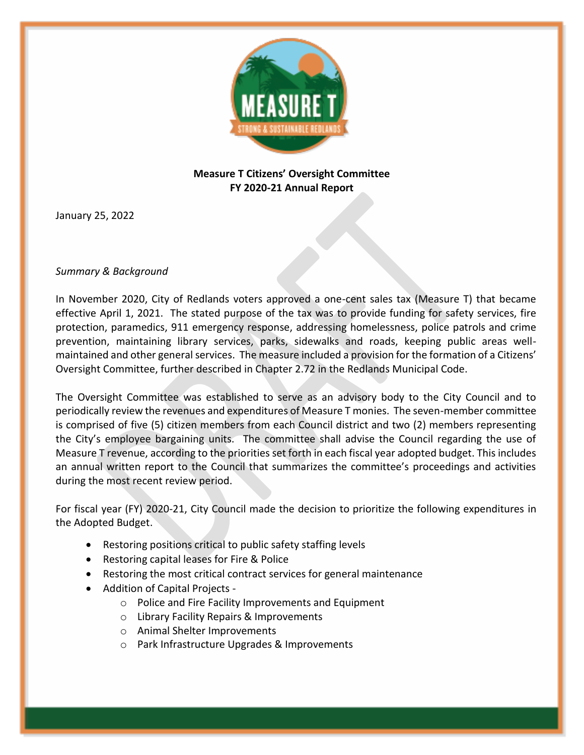

## **Measure T Citizens' Oversight Committee FY 2020-21 Annual Report**

January 25, 2022

## *Summary & Background*

In November 2020, City of Redlands voters approved a one-cent sales tax (Measure T) that became effective April 1, 2021. The stated purpose of the tax was to provide funding for safety services, fire protection, paramedics, 911 emergency response, addressing homelessness, police patrols and crime prevention, maintaining library services, parks, sidewalks and roads, keeping public areas wellmaintained and other general services. The measure included a provision for the formation of a Citizens' Oversight Committee, further described in Chapter 2.72 in the Redlands Municipal Code.

The Oversight Committee was established to serve as an advisory body to the City Council and to periodically review the revenues and expenditures of Measure T monies. The seven-member committee is comprised of five (5) citizen members from each Council district and two (2) members representing the City's employee bargaining units. The committee shall advise the Council regarding the use of Measure T revenue, according to the priorities set forth in each fiscal year adopted budget. This includes an annual written report to the Council that summarizes the committee's proceedings and activities during the most recent review period.

For fiscal year (FY) 2020-21, City Council made the decision to prioritize the following expenditures in the Adopted Budget.

- Restoring positions critical to public safety staffing levels
- Restoring capital leases for Fire & Police
- Restoring the most critical contract services for general maintenance
- Addition of Capital Projects
	- o Police and Fire Facility Improvements and Equipment
	- o Library Facility Repairs & Improvements
	- o Animal Shelter Improvements
	- o Park Infrastructure Upgrades & Improvements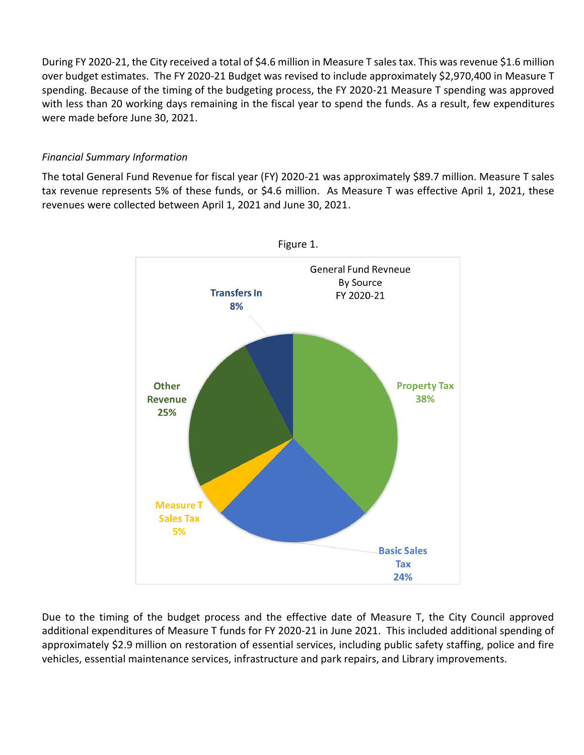During FY 2020-21, the City received a total of \$4.6 million in Measure T sales tax. This was revenue \$1.6 million over budget estimates. The FY 2020-21 Budget was revised to include approximately \$2,970,400 in Measure T spending. Because of the timing of the budgeting process, the FY 2020-21 Measure T spending was approved with less than 20 working days remaining in the fiscal year to spend the funds. As a result, few expenditures were made before June 30, 2021.

## *Financial Summary Information*

The total General Fund Revenue for fiscal year (FY) 2020-21 was approximately \$89.7 million. Measure T sales tax revenue represents 5% of these funds, or \$4.6 million. As Measure T was effective April 1, 2021, these revenues were collected between April 1, 2021 and June 30, 2021.



Due to the timing of the budget process and the effective date of Measure T, the City Council approved additional expenditures of Measure T funds for FY 2020-21 in June 2021. This included additional spending of approximately \$2.9 million on restoration of essential services, including public safety staffing, police and fire vehicles, essential maintenance services, infrastructure and park repairs, and Library improvements.